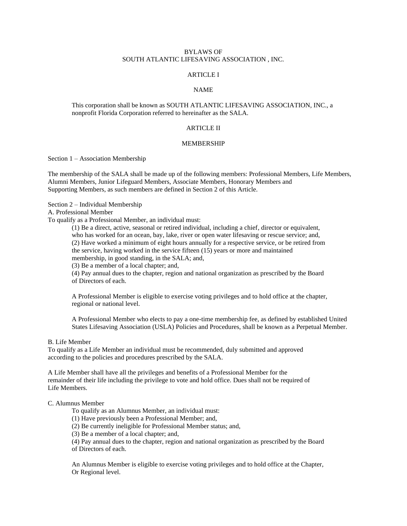## BYLAWS OF SOUTH ATLANTIC LIFESAVING ASSOCIATION , INC.

## ARTICLE I

### NAME

This corporation shall be known as SOUTH ATLANTIC LIFESAVING ASSOCIATION, INC., a nonprofit Florida Corporation referred to hereinafter as the SALA.

# ARTICLE II

#### MEMBERSHIP

Section 1 – Association Membership

The membership of the SALA shall be made up of the following members: Professional Members, Life Members, Alumni Members, Junior Lifeguard Members, Associate Members, Honorary Members and Supporting Members, as such members are defined in Section 2 of this Article.

Section 2 – Individual Membership

A. Professional Member

To qualify as a Professional Member, an individual must:

(1) Be a direct, active, seasonal or retired individual, including a chief, director or equivalent, who has worked for an ocean, bay, lake, river or open water lifesaving or rescue service; and, (2) Have worked a minimum of eight hours annually for a respective service, or be retired from the service, having worked in the service fifteen (15) years or more and maintained membership, in good standing, in the SALA; and,

(3) Be a member of a local chapter; and,

(4) Pay annual dues to the chapter, region and national organization as prescribed by the Board of Directors of each.

A Professional Member is eligible to exercise voting privileges and to hold office at the chapter, regional or national level.

A Professional Member who elects to pay a one-time membership fee, as defined by established United States Lifesaving Association (USLA) Policies and Procedures, shall be known as a Perpetual Member.

#### B. Life Member

To qualify as a Life Member an individual must be recommended, duly submitted and approved according to the policies and procedures prescribed by the SALA.

A Life Member shall have all the privileges and benefits of a Professional Member for the remainder of their life including the privilege to vote and hold office. Dues shall not be required of Life Members.

#### C. Alumnus Member

To qualify as an Alumnus Member, an individual must:

(1) Have previously been a Professional Member; and,

(2) Be currently ineligible for Professional Member status; and,

(3) Be a member of a local chapter; and,

(4) Pay annual dues to the chapter, region and national organization as prescribed by the Board of Directors of each.

An Alumnus Member is eligible to exercise voting privileges and to hold office at the Chapter, Or Regional level.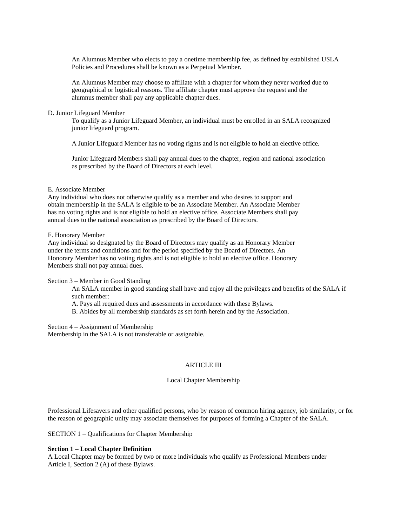An Alumnus Member who elects to pay a onetime membership fee, as defined by established USLA Policies and Procedures shall be known as a Perpetual Member.

An Alumnus Member may choose to affiliate with a chapter for whom they never worked due to geographical or logistical reasons. The affiliate chapter must approve the request and the alumnus member shall pay any applicable chapter dues.

## D. Junior Lifeguard Member

To qualify as a Junior Lifeguard Member, an individual must be enrolled in an SALA recognized junior lifeguard program.

A Junior Lifeguard Member has no voting rights and is not eligible to hold an elective office.

Junior Lifeguard Members shall pay annual dues to the chapter, region and national association as prescribed by the Board of Directors at each level.

## E. Associate Member

Any individual who does not otherwise qualify as a member and who desires to support and obtain membership in the SALA is eligible to be an Associate Member. An Associate Member has no voting rights and is not eligible to hold an elective office. Associate Members shall pay annual dues to the national association as prescribed by the Board of Directors.

## F. Honorary Member

Any individual so designated by the Board of Directors may qualify as an Honorary Member under the terms and conditions and for the period specified by the Board of Directors. An Honorary Member has no voting rights and is not eligible to hold an elective office. Honorary Members shall not pay annual dues.

Section 3 – Member in Good Standing

An SALA member in good standing shall have and enjoy all the privileges and benefits of the SALA if such member:

A. Pays all required dues and assessments in accordance with these Bylaws.

B. Abides by all membership standards as set forth herein and by the Association.

Section 4 – Assignment of Membership Membership in the SALA is not transferable or assignable.

# ARTICLE III

#### Local Chapter Membership

Professional Lifesavers and other qualified persons, who by reason of common hiring agency, job similarity, or for the reason of geographic unity may associate themselves for purposes of forming a Chapter of the SALA.

SECTION 1 – Qualifications for Chapter Membership

# **Section 1 – Local Chapter Definition**

A Local Chapter may be formed by two or more individuals who qualify as Professional Members under Article I, Section 2 (A) of these Bylaws.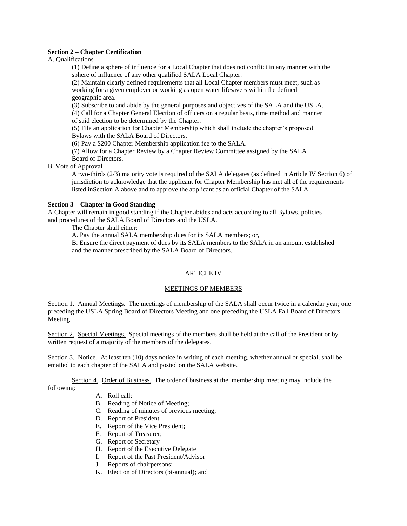## **Section 2 – Chapter Certification**

A. Qualifications

(1) Define a sphere of influence for a Local Chapter that does not conflict in any manner with the sphere of influence of any other qualified SALA Local Chapter.

(2) Maintain clearly defined requirements that all Local Chapter members must meet, such as working for a given employer or working as open water lifesavers within the defined geographic area.

(3) Subscribe to and abide by the general purposes and objectives of the SALA and the USLA. (4) Call for a Chapter General Election of officers on a regular basis, time method and manner of said election to be determined by the Chapter.

(5) File an application for Chapter Membership which shall include the chapter's proposed Bylaws with the SALA Board of Directors.

(6) Pay a \$200 Chapter Membership application fee to the SALA.

(7) Allow for a Chapter Review by a Chapter Review Committee assigned by the SALA Board of Directors.

B. Vote of Approval

A two-thirds (2/3) majority vote is required of the SALA delegates (as defined in Article IV Section 6) of jurisdiction to acknowledge that the applicant for Chapter Membership has met all of the requirements listed inSection A above and to approve the applicant as an official Chapter of the SALA..

# **Section 3 – Chapter in Good Standing**

A Chapter will remain in good standing if the Chapter abides and acts according to all Bylaws, policies and procedures of the SALA Board of Directors and the USLA.

The Chapter shall either:

A. Pay the annual SALA membership dues for its SALA members; or,

B. Ensure the direct payment of dues by its SALA members to the SALA in an amount established and the manner prescribed by the SALA Board of Directors.

# ARTICLE IV

## MEETINGS OF MEMBERS

Section 1. Annual Meetings. The meetings of membership of the SALA shall occur twice in a calendar year; one preceding the USLA Spring Board of Directors Meeting and one preceding the USLA Fall Board of Directors Meeting.

Section 2. Special Meetings. Special meetings of the members shall be held at the call of the President or by written request of a majority of the members of the delegates.

Section 3. Notice. At least ten (10) days notice in writing of each meeting, whether annual or special, shall be emailed to each chapter of the SALA and posted on the SALA website.

Section 4. Order of Business. The order of business at the membership meeting may include the following:

- A. Roll call;
- B. Reading of Notice of Meeting;
- C. Reading of minutes of previous meeting;
- D. Report of President
- E. Report of the Vice President;
- F. Report of Treasurer;
- G. Report of Secretary
- H. Report of the Executive Delegate
- I. Report of the Past President/Advisor
- J. Reports of chairpersons;
- K. Election of Directors (bi-annual); and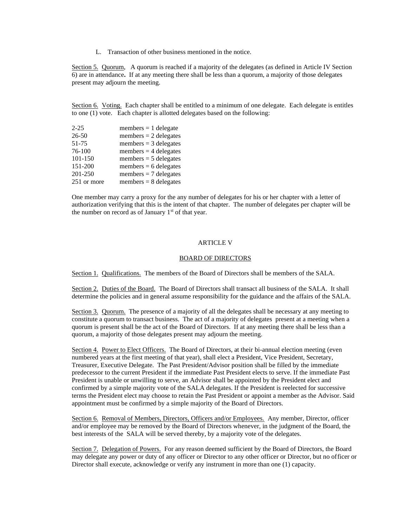L. Transaction of other business mentioned in the notice.

Section 5. Quorum, A quorum is reached if a majority of the delegates (as defined in Article IV Section 6) are in attendance**.** If at any meeting there shall be less than a quorum, a majority of those delegates present may adjourn the meeting.

Section 6. Voting. Each chapter shall be entitled to a minimum of one delegate. Each delegate is entitles to one (1) vote. Each chapter is allotted delegates based on the following:

| $2 - 25$    | $members = 1$ delegate  |
|-------------|-------------------------|
| $26 - 50$   | members $= 2$ delegates |
| 51-75       | members $=$ 3 delegates |
| 76-100      | members $=$ 4 delegates |
| 101-150     | $members = 5$ delegates |
| 151-200     | members $= 6$ delegates |
| 201-250     | members $= 7$ delegates |
| 251 or more | members $= 8$ delegates |

One member may carry a proxy for the any number of delegates for his or her chapter with a letter of authorization verifying that this is the intent of that chapter. The number of delegates per chapter will be the number on record as of January  $1<sup>st</sup>$  of that year.

### ARTICLE V

## BOARD OF DIRECTORS

Section 1. Qualifications. The members of the Board of Directors shall be members of the SALA.

Section 2. Duties of the Board. The Board of Directors shall transact all business of the SALA. It shall determine the policies and in general assume responsibility for the guidance and the affairs of the SALA.

Section 3. Quorum. The presence of a majority of all the delegates shall be necessary at any meeting to constitute a quorum to transact business. The act of a majority of delegates present at a meeting when a quorum is present shall be the act of the Board of Directors. If at any meeting there shall be less than a quorum, a majority of those delegates present may adjourn the meeting.

Section 4. Power to Elect Officers. The Board of Directors, at their bi-annual election meeting (even numbered years at the first meeting of that year), shall elect a President, Vice President, Secretary, Treasurer, Executive Delegate. The Past President/Advisor position shall be filled by the immediate predecessor to the current President if the immediate Past President elects to serve. If the immediate Past President is unable or unwilling to serve, an Advisor shall be appointed by the President elect and confirmed by a simple majority vote of the SALA delegates. If the President is reelected for successive terms the President elect may choose to retain the Past President or appoint a member as the Advisor. Said appointment must be confirmed by a simple majority of the Board of Directors.

Section 6. Removal of Members, Directors, Officers and/or Employees. Any member, Director, officer and/or employee may be removed by the Board of Directors whenever, in the judgment of the Board, the best interests of the SALA will be served thereby, by a majority vote of the delegates.

Section 7. Delegation of Powers. For any reason deemed sufficient by the Board of Directors, the Board may delegate any power or duty of any officer or Director to any other officer or Director, but no officer or Director shall execute, acknowledge or verify any instrument in more than one (1) capacity.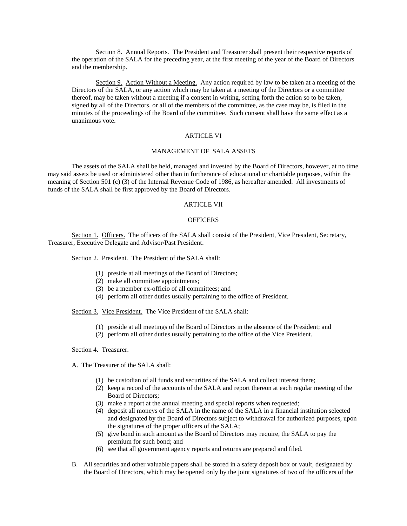Section 8. Annual Reports. The President and Treasurer shall present their respective reports of the operation of the SALA for the preceding year, at the first meeting of the year of the Board of Directors and the membership.

Section 9. Action Without a Meeting. Any action required by law to be taken at a meeting of the Directors of the SALA, or any action which may be taken at a meeting of the Directors or a committee thereof, may be taken without a meeting if a consent in writing, setting forth the action so to be taken, signed by all of the Directors, or all of the members of the committee, as the case may be, is filed in the minutes of the proceedings of the Board of the committee. Such consent shall have the same effect as a unanimous vote.

# ARTICLE VI

### MANAGEMENT OF SALA ASSETS

The assets of the SALA shall be held, managed and invested by the Board of Directors, however, at no time may said assets be used or administered other than in furtherance of educational or charitable purposes, within the meaning of Section 501 (c) (3) of the Internal Revenue Code of 1986, as hereafter amended. All investments of funds of the SALA shall be first approved by the Board of Directors.

# ARTICLE VII

#### **OFFICERS**

Section 1. Officers. The officers of the SALA shall consist of the President, Vice President, Secretary, Treasurer, Executive Delegate and Advisor/Past President.

Section 2. President. The President of the SALA shall:

- (1) preside at all meetings of the Board of Directors;
- (2) make all committee appointments;
- (3) be a member ex-officio of all committees; and
- (4) perform all other duties usually pertaining to the office of President.

Section 3. Vice President. The Vice President of the SALA shall:

- (1) preside at all meetings of the Board of Directors in the absence of the President; and
- (2) perform all other duties usually pertaining to the office of the Vice President.

## Section 4. Treasurer.

- A. The Treasurer of the SALA shall:
	- (1) be custodian of all funds and securities of the SALA and collect interest there;
	- (2) keep a record of the accounts of the SALA and report thereon at each regular meeting of the Board of Directors;
	- (3) make a report at the annual meeting and special reports when requested;
	- (4) deposit all moneys of the SALA in the name of the SALA in a financial institution selected and designated by the Board of Directors subject to withdrawal for authorized purposes, upon the signatures of the proper officers of the SALA;
	- (5) give bond in such amount as the Board of Directors may require, the SALA to pay the premium for such bond; and
	- (6) see that all government agency reports and returns are prepared and filed.
- B. All securities and other valuable papers shall be stored in a safety deposit box or vault, designated by the Board of Directors, which may be opened only by the joint signatures of two of the officers of the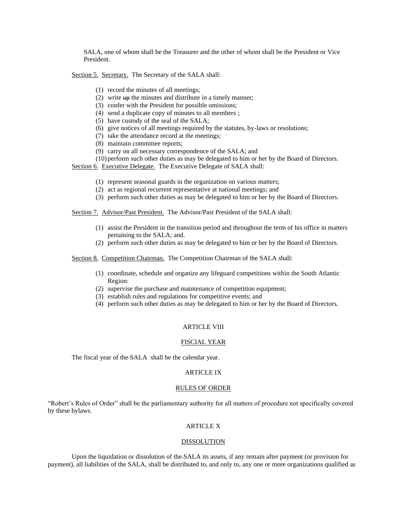SALA, one of whom shall be the Treasurer and the other of whom shall be the President or Vice President.

Section 5. Secretary. The Secretary of the SALA shall:

- (1) record the minutes of all meetings;
- (2) write  $up$  the minutes and distribute in a timely manner;
- (3) confer with the President for possible omissions;
- (4) send a duplicate copy of minutes to all members ;
- (5) have custody of the seal of the SALA;
- (6) give notices of all meetings required by the statutes, by-laws or resolutions;
- (7) take the attendance record at the meetings;
- (8) maintain committee reports;
- (9) carry on all necessary correspondence of the SALA; and
- (10) perform such other duties as may be delegated to him or her by the Board of Directors.

Section 6. Executive Delegate. The Executive Delegate of SALA shall:

- (1) represent seasonal guards in the organization on various matters;
- (2) act as regional recurrent representative at national meetings; and
- (3) perform such other duties as may be delegated to him or her by the Board of Directors.

Section 7. Advisor/Past President. The Advisor/Past President of the SALA shall:

- (1) assist the President in the transition period and throughout the term of his office in matters pertaining to the SALA; and.
- (2) perform such other duties as may be delegated to him or her by the Board of Directors.

Section 8. Competition Chairman. The Competition Chairman of the SALA shall:

- (1) coordinate, schedule and organize any lifeguard competitions within the South Atlantic Region:
- (2) supervise the purchase and maintenance of competition equipment;
- (3) establish rules and regulations for competitive events; and
- (4) perform such other duties as may be delegated to him or her by the Board of Directors.

#### ARTICLE VIII

#### FISCIAL YEAR

The fiscal year of the SALA shall be the calendar year.

# ARTICLE IX

### RULES OF ORDER

"Robert's Rules of Order" shall be the parliamentary authority for all matters of procedure not specifically covered by these bylaws.

## ARTICLE X

#### DISSOLUTION

Upon the liquidation or dissolution of the SALA its assets, if any remain after payment (or provision for payment), all liabilities of the SALA, shall be distributed to, and only to, any one or more organizations qualified as